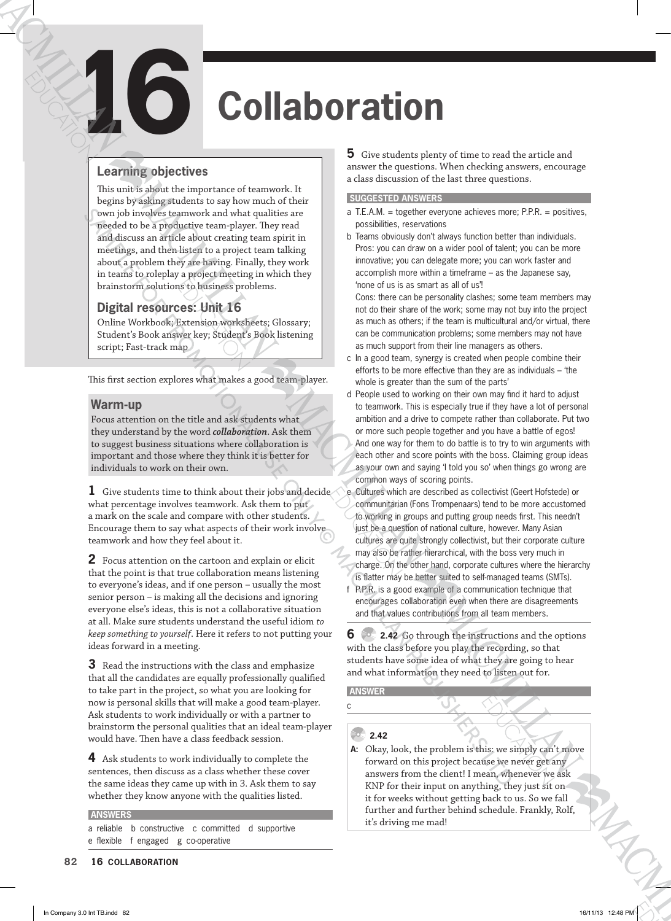# **16 Collaboration**

### **Learning objectives**

This unit is about the importance of teamwork. It begins by asking students to say how much of their own job involves teamwork and what qualities are needed to be a productive team-player. They read and discuss an article about creating team spirit in meetings, and then listen to a project team talking about a problem they are having. Finally, they work in teams to roleplay a project meeting in which they brainstorm solutions to business problems.

### **Digital resources: Unit 16**

Online Workbook; Extension worksheets; Glossary; Student's Book answer key; Student's Book listening script; Fast-track map

This first section explores what makes a good team-player.

### **Warm-up**

Focus attention on the title and ask students what they understand by the word *collaboration*. Ask them to suggest business situations where collaboration is important and those where they think it is better for individuals to work on their own.

**1** Give students time to think about their jobs and decide what percentage involves teamwork. Ask them to put a mark on the scale and compare with other students. Encourage them to say what aspects of their work involve teamwork and how they feel about it.

**2** Focus attention on the cartoon and explain or elicit that the point is that true collaboration means listening to everyone's ideas, and if one person – usually the most senior person – is making all the decisions and ignoring everyone else's ideas, this is not a collaborative situation at all. Make sure students understand the useful idiom *to keep something to yourself*. Here it refers to not putting your ideas forward in a meeting.

**3** Read the instructions with the class and emphasize that all the candidates are equally professionally qualified to take part in the project, so what you are looking for now is personal skills that will make a good team-player. Ask students to work individually or with a partner to brainstorm the personal qualities that an ideal team-player would have. Then have a class feedback session.

**4** Ask students to work individually to complete the sentences, then discuss as a class whether these cover the same ideas they came up with in 3. Ask them to say whether they know anyone with the qualities listed.

#### **Answers**

a reliable b constructive c committed d supportive e flexible f engaged g co-operative

**5** Give students plenty of time to read the article and answer the questions. When checking answers, encourage a class discussion of the last three questions.

### **Suggested answers**

- a T.E.A.M. = together everyone achieves more; P.P.R. = positives, possibilities, reservations
- b Teams obviously don't always function better than individuals. Pros: you can draw on a wider pool of talent; you can be more innovative; you can delegate more; you can work faster and accomplish more within a timeframe – as the Japanese say, 'none of us is as smart as all of us'!

Cons: there can be personality clashes; some team members may not do their share of the work; some may not buy into the project as much as others; if the team is multicultural and/or virtual, there can be communication problems; some members may not have as much support from their line managers as others.

- c In a good team, synergy is created when people combine their efforts to be more effective than they are as individuals – 'the whole is greater than the sum of the parts'
- d People used to working on their own may find it hard to adjust to teamwork. This is especially true if they have a lot of personal ambition and a drive to compete rather than collaborate. Put two or more such people together and you have a battle of egos! And one way for them to do battle is to try to win arguments with each other and score points with the boss. Claiming group ideas as your own and saying 'I told you so' when things go wrong are common ways of scoring points.
- e Cultures which are described as collectivist (Geert Hofstede) or communitarian (Fons Trompenaars) tend to be more accustomed to working in groups and putting group needs first. This needn't just be a question of national culture, however. Many Asian cultures are quite strongly collectivist, but their corporate culture may also be rather hierarchical, with the boss very much in charge. On the other hand, corporate cultures where the hierarchy is flatter may be better suited to self-managed teams (SMTs).
- f P.P.R. is a good example of a communication technique that encourages collaboration even when there are disagreements and that values contributions from all team members.

**6 2.42** Go through the instructions and the options with the class before you play the recording, so that students have some idea of what they are going to hear and what information they need to listen out for.

### **Answer**

c

### **2.42**

**A:** Okay, look, the problem is this: we simply can't move forward on this project because we never get any answers from the client! I mean, whenever we ask KNP for their input on anything, they just sit on it for weeks without getting back to us. So we fall further and further behind schedule. Frankly, Rolf, it's driving me mad!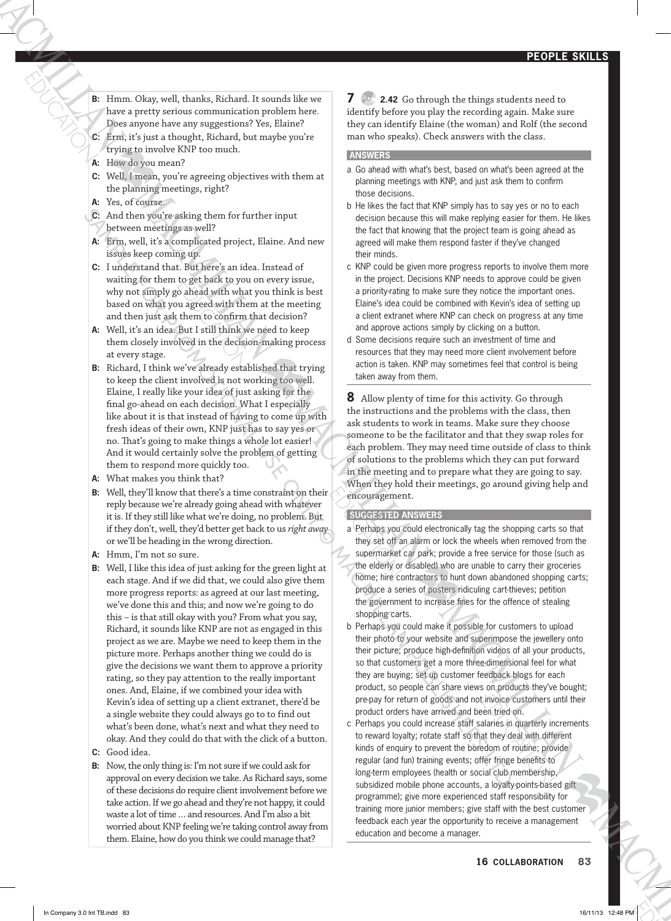- **B:** Hmm. Okay, well, thanks, Richard. It sounds like we have a pretty serious communication problem here. Does anyone have any suggestions? Yes, Elaine?
- **C:** Erm, it's just a thought, Richard, but maybe you're trying to involve KNP too much.
- **A:** How do you mean?
- **C:** Well, I mean, you're agreeing objectives with them at the planning meetings, right?
- **A:** Yes, of course.
- **C:** And then you're asking them for further input between meetings as well?
- **A:** Erm, well, it's a complicated project, Elaine. And new issues keep coming up.
- **C:** I understand that. But here's an idea. Instead of waiting for them to get back to you on every issue, why not simply go ahead with what you think is best based on what you agreed with them at the meeting and then just ask them to confirm that decision?
- **A:** Well, it's an idea. But I still think we need to keep them closely involved in the decision-making process at every stage.
- **B:** Richard, I think we've already established that trying to keep the client involved is not working too well. Elaine, I really like your idea of just asking for the final go-ahead on each decision. What I especially like about it is that instead of having to come up with fresh ideas of their own, KNP just has to say yes or no. That's going to make things a whole lot easier! And it would certainly solve the problem of getting them to respond more quickly too.
- **A:** What makes you think that?
- **B:** Well, they'll know that there's a time constraint on their reply because we're already going ahead with whatever it is. If they still like what we're doing, no problem. But if they don't, well, they'd better get back to us *right away* or we'll be heading in the wrong direction.
- **A:** Hmm, I'm not so sure.
- **B:** Well, I like this idea of just asking for the green light at each stage. And if we did that, we could also give them more progress reports: as agreed at our last meeting, we've done this and this; and now we're going to do this – is that still okay with you? From what you say, Richard, it sounds like KNP are not as engaged in this project as we are. Maybe we need to keep them in the picture more. Perhaps another thing we could do is give the decisions we want them to approve a priority rating, so they pay attention to the really important ones. And, Elaine, if we combined your idea with Kevin's idea of setting up a client extranet, there'd be a single website they could always go to to find out what's been done, what's next and what they need to okay. And they could do that with the click of a button.
- **C:** Good idea.
- **B:** Now, the only thing is: I'm not sure if we could ask for approval on every decision we take. As Richard says, some of these decisions do require client involvement before we take action. If we go ahead and they're not happy, it could waste a lot of time … and resources. And I'm also a bit worried about KNP feeling we're taking control away from them. Elaine, how do you think we could manage that?

**7 2.42** Go through the things students need to identify before you play the recording again. Make sure they can identify Elaine (the woman) and Rolf (the second man who speaks). Check answers with the class.

### **Answers**

- a Go ahead with what's best, based on what's been agreed at the planning meetings with KNP, and just ask them to confirm those decisions.
- b He likes the fact that KNP simply has to say yes or no to each decision because this will make replying easier for them. He likes the fact that knowing that the project team is going ahead as agreed will make them respond faster if they've changed their minds.
- c KNP could be given more progress reports to involve them more in the project. Decisions KNP needs to approve could be given a priority-rating to make sure they notice the important ones. Elaine's idea could be combined with Kevin's idea of setting up a client extranet where KNP can check on progress at any time and approve actions simply by clicking on a button.
- d Some decisions require such an investment of time and resources that they may need more client involvement before action is taken. KNP may sometimes feel that control is being taken away from them.

**8** Allow plenty of time for this activity. Go through the instructions and the problems with the class, then ask students to work in teams. Make sure they choose someone to be the facilitator and that they swap roles for each problem. They may need time outside of class to think of solutions to the problems which they can put forward in the meeting and to prepare what they are going to say. When they hold their meetings, go around giving help and encouragement.

### **Suggested answers**

- a Perhaps you could electronically tag the shopping carts so that they set off an alarm or lock the wheels when removed from the supermarket car park; provide a free service for those (such as the elderly or disabled) who are unable to carry their groceries home; hire contractors to hunt down abandoned shopping carts; produce a series of posters ridiculing cart-thieves; petition the government to increase fines for the offence of stealing shopping carts.
- b Perhaps you could make it possible for customers to upload their photo to your website and superimpose the jewellery onto their picture; produce high-definition videos of all your products, so that customers get a more three-dimensional feel for what they are buying; set up customer feedback blogs for each product, so people can share views on products they've bought; pre-pay for return of goods and not invoice customers until their product orders have arrived and been tried on.
- c Perhaps you could increase staff salaries in quarterly increments to reward loyalty; rotate staff so that they deal with different kinds of enquiry to prevent the boredom of routine; provide regular (and fun) training events; offer fringe benefits to long-term employees (health or social club membership, subsidized mobile phone accounts, a loyalty-points-based gift programme); give more experienced staff responsibility for training more junior members; give staff with the best customer feedback each year the opportunity to receive a management education and become a manager.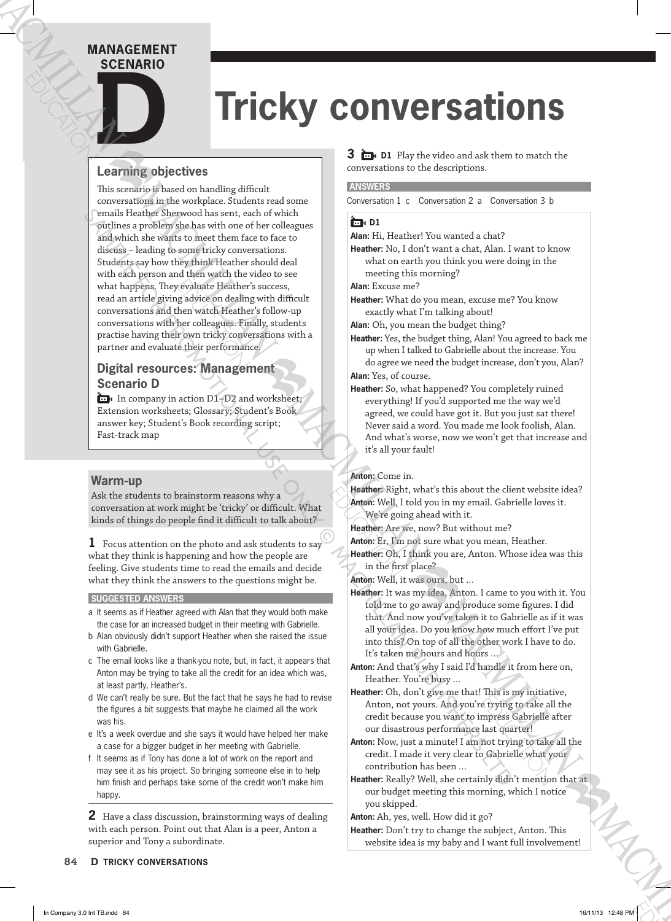### MANAGEMENT<br>SCENARIO  **MANAGEMENT SCENARIO D**

## **Tricky conversations**

### **Learning objectives**

This scenario is based on handling difficult conversations in the workplace. Students read some emails Heather Sherwood has sent, each of which outlines a problem she has with one of her colleagues and which she wants to meet them face to face to discuss – leading to some tricky conversations. Students say how they think Heather should deal with each person and then watch the video to see what happens. They evaluate Heather's success, read an article giving advice on dealing with difficult conversations and then watch Heather's follow-up conversations with her colleagues. Finally, students practise having their own tricky conversations with a partner and evaluate their performance.

### **Digital resources: Management Scenario D**

In company in action  $D1-D2$  and worksheet; Extension worksheets; Glossary; Student's Book answer key; Student's Book recording script; Fast-track map

### **Warm-up**

Ask the students to brainstorm reasons why a conversation at work might be 'tricky' or difficult. What kinds of things do people find it difficult to talk about?

**1** Focus attention on the photo and ask students to say what they think is happening and how the people are feeling. Give students time to read the emails and decide what they think the answers to the questions might be.

### **Suggested answers**

- a It seems as if Heather agreed with Alan that they would both make the case for an increased budget in their meeting with Gabrielle.
- b Alan obviously didn't support Heather when she raised the issue with Gabrielle.
- c The email looks like a thank-you note, but, in fact, it appears that Anton may be trying to take all the credit for an idea which was, at least partly, Heather's.
- d We can't really be sure. But the fact that he says he had to revise the figures a bit suggests that maybe he claimed all the work was his.
- e It's a week overdue and she says it would have helped her make a case for a bigger budget in her meeting with Gabrielle.
- f It seems as if Tony has done a lot of work on the report and may see it as his project. So bringing someone else in to help him finish and perhaps take some of the credit won't make him happy.

**2** Have a class discussion, brainstorming ways of dealing with each person. Point out that Alan is a peer, Anton a superior and Tony a subordinate.

**3 D1** Play the video and ask them to match the conversations to the descriptions.

### **Answers**

Conversation 1 c Conversation 2 a Conversation 3 b

### **ig D1**

**Alan:** Hi, Heather! You wanted a chat?

**Heather:** No, I don't want a chat, Alan. I want to know what on earth you think you were doing in the meeting this morning?

**Alan:** Excuse me?

**Heather:** What do you mean, excuse me? You know exactly what I'm talking about!

**Alan:** Oh, you mean the budget thing?

**Heather:** Yes, the budget thing, Alan! You agreed to back me up when I talked to Gabrielle about the increase. You do agree we need the budget increase, don't you, Alan? **Alan:** Yes, of course.

**Heather:** So, what happened? You completely ruined everything! If you'd supported me the way we'd agreed, we could have got it. But you just sat there! Never said a word. You made me look foolish, Alan. And what's worse, now we won't get that increase and it's all your fault!

### **Anton:** Come in.

**Heather:** Right, what's this about the client website idea? **Anton:** Well, I told you in my email. Gabrielle loves it.

We're going ahead with it.

**Heather:** Are we, now? But without me?

**Anton:** Er, I'm not sure what you mean, Heather.

**Heather:** Oh, I think you are, Anton. Whose idea was this in the first place?

**Anton:** Well, it was ours, but …

- **Heather:** It was my idea, Anton. I came to you with it. You told me to go away and produce some figures. I did that. And now you've taken it to Gabrielle as if it was all your idea. Do you know how much effort I've put into this? On top of all the other work I have to do. It's taken me hours and hours …
- **Anton:** And that's why I said I'd handle it from here on, Heather. You're busy …
- **Heather:** Oh, don't give me that! This is my initiative, Anton, not yours. And you're trying to take all the credit because you want to impress Gabrielle after our disastrous performance last quarter!
- **Anton:** Now, just a minute! I am not trying to take all the credit. I made it very clear to Gabrielle what your contribution has been …
- **Heather:** Really? Well, she certainly didn't mention that at our budget meeting this morning, which I notice you skipped.

**Anton:** Ah, yes, well. How did it go?

**Heather:** Don't try to change the subject, Anton. This website idea is my baby and I want full involvement!